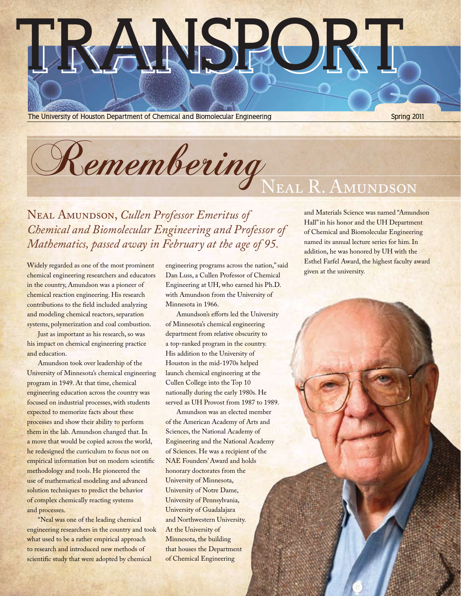# **TRANSPORT**

**The University of Houston Department of Chemical and Biomolecular Engineering <b>Spring 2011 Spring 2011** 

Remembering

Neal Amundson, *Cullen Professor Emeritus of Chemical and Biomolecular Engineering and Professor of Mathematics, passed away in February at the age of 95.*

Widely regarded as one of the most prominent chemical engineering researchers and educators in the country, Amundson was a pioneer of chemical reaction engineering. His research contributions to the field included analyzing and modeling chemical reactors, separation systems, polymerization and coal combustion.

Just as important as his research, so was his impact on chemical engineering practice and education.

Amundson took over leadership of the University of Minnesota's chemical engineering program in 1949. At that time, chemical engineering education across the country was focused on industrial processes, with students expected to memorize facts about these processes and show their ability to perform them in the lab. Amundson changed that. In a move that would be copied across the world, he redesigned the curriculum to focus not on empirical information but on modern scientific methodology and tools. He pioneered the use of mathematical modeling and advanced solution techniques to predict the behavior of complex chemically reacting systems and processes.

"Neal was one of the leading chemical engineering researchers in the country and took what used to be a rather empirical approach to research and introduced new methods of scientific study that were adopted by chemical

engineering programs across the nation," said Dan Luss, a Cullen Professor of Chemical Engineering at UH, who earned his Ph.D. with Amundson from the University of Minnesota in 1966.

Amundson's efforts led the University of Minnesota's chemical engineering department from relative obscurity to a top-ranked program in the country. His addition to the University of Houston in the mid-1970s helped launch chemical engineering at the Cullen College into the Top 10 nationally during the early 1980s. He served as UH Provost from 1987 to 1989.

Amundson was an elected member of the American Academy of Arts and Sciences, the National Academy of Engineering and the National Academy of Sciences. He was a recipient of the NAE Founders' Award and holds honorary doctorates from the University of Minnesota, University of Notre Dame, University of Pennsylvania, University of Guadalajara and Northwestern University. At the University of Minnesota, the building that houses the Department of Chemical Engineering

and Materials Science was named "Amundson Hall" in his honor and the UH Department of Chemical and Biomolecular Engineering named its annual lecture series for him. In addition, he was honored by UH with the Esthel Farfel Award, the highest faculty award given at the university.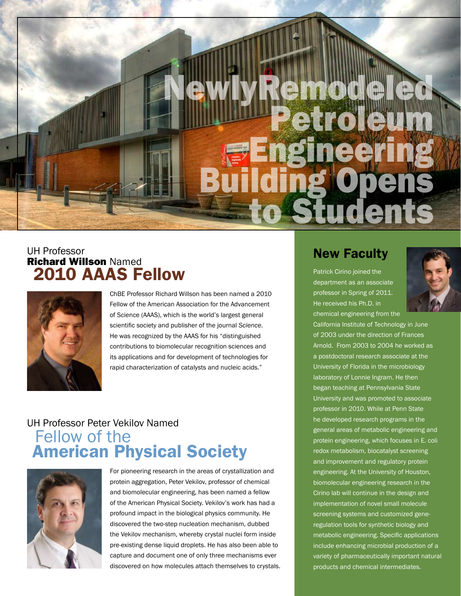# $\frac{1}{2}$ **Engineering**<br>Building Open<br>To Student

#### UH Professor Richard Willson Named 2010 AAAS Fellow



ChBE Professor Richard Willson has been named a 2010 Fellow of the American Association for the Advancement of Science (AAAS), which is the world's largest general scientific society and publisher of the journal *Science*. He was recognized by the AAAS for his "distinguished contributions to biomolecular recognition sciences and its applications and for development of technologies for rapid characterization of catalysts and nucleic acids."

#### UH Professor Peter Vekilov Named Fellow of the American Physical Society



For pioneering research in the areas of crystallization and protein aggregation, Peter Vekilov, professor of chemical and biomolecular engineering, has been named a fellow of the American Physical Society. Vekilov's work has had a profound impact in the biological physics community. He discovered the two-step nucleation mechanism, dubbed the Vekilov mechanism, whereby crystal nuclei form inside pre-existing dense liquid droplets. He has also been able to capture and document one of only three mechanisms ever discovered on how molecules attach themselves to crystals.

#### New Faculty

Patrick Cirino joined the department as an associate professor in Spring of 2011. He received his Ph.D. in chemical engineering from the



California Institute of Technology in June of 2003 under the direction of Frances Arnold. From 2003 to 2004 he worked as a postdoctoral research associate at the University of Florida in the microbiology laboratory of Lonnie Ingram. He then began teaching at Pennsylvania State University and was promoted to associate professor in 2010. While at Penn State he developed research programs in the general areas of metabolic engineering and protein engineering, which focuses in E. coli redox metabolism, biocatalyst screening and improvement and regulatory protein engineering. At the University of Houston, biomolecular engineering research in the Cirino lab will continue in the design and implementation of novel small molecule screening systems and customized generegulation tools for synthetic biology and metabolic engineering. Specific applications include enhancing microbial production of a variety of pharmaceutically important natural products and chemical intermediates.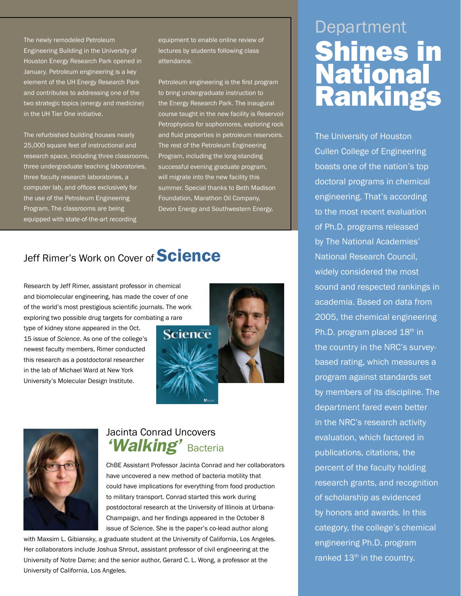The newly remodeled Petroleum Engineering Building in the University of Houston Energy Research Park opened in January. Petroleum engineering is a key element of the UH Energy Research Park and contributes to addressing one of the two strategic topics (energy and medicine) in the UH Tier One initiative.

The refurbished building houses nearly 25,000 square feet of instructional and research space, including three classrooms, three undergraduate teaching laboratories, three faculty research laboratories, a computer lab, and offices exclusively for the use of the Petroleum Engineering Program. The classrooms are being equipped with state-of-the-art recording

equipment to enable online review of lectures by students following class attendance.

Petroleum engineering is the first program to bring undergraduate instruction to the Energy Research Park. The inaugural course taught in the new facility is Reservoir Petrophysics for sophomores, exploring rock and fluid properties in petroleum reservoirs. The rest of the Petroleum Engineering Program, including the long-standing successful evening graduate program, will migrate into the new facility this summer. Special thanks to Beth Madison Foundation, Marathon Oil Company, Devon Energy and Southwestern Energy.

## Jeff Rimer's Work on Cover of **Science**

Research by Jeff Rimer, assistant professor in chemical and biomolecular engineering, has made the cover of one of the world's most prestigious scientific journals. The work exploring two possible drug targets for combating a rare

type of kidney stone appeared in the Oct. 15 issue of *Science*. As one of the college's newest faculty members, Rimer conducted this research as a postdoctoral researcher in the lab of Michael Ward at New York University's Molecular Design Institute.





#### Jacinta Conrad Uncovers *'Walking'* Bacteria

ChBE Assistant Professor Jacinta Conrad and her collaborators have uncovered a new method of bacteria motility that could have implications for everything from food production to military transport. Conrad started this work during postdoctoral research at the University of Illinois at Urbana-Champaign, and her findings appeared in the October 8 issue of *Science*. She is the paper's co-lead author along

with Maxsim L. Gibiansky, a graduate student at the University of California, Los Angeles. Her collaborators include Joshua Shrout, assistant professor of civil engineering at the University of Notre Dame; and the senior author, Gerard C. L. Wong, a professor at the University of California, Los Angeles.

# Department Shines in **National** Rankings

The University of Houston Cullen College of Engineering boasts one of the nation's top doctoral programs in chemical engineering. That's according to the most recent evaluation of Ph.D. programs released by The National Academies' National Research Council, widely considered the most sound and respected rankings in academia. Based on data from 2005, the chemical engineering Ph.D. program placed 18<sup>th</sup> in the country in the NRC's surveybased rating, which measures a program against standards set by members of its discipline. The department fared even better in the NRC's research activity evaluation, which factored in publications, citations, the percent of the faculty holding research grants, and recognition of scholarship as evidenced by honors and awards. In this category, the college's chemical engineering Ph.D. program ranked 13<sup>th</sup> in the country.